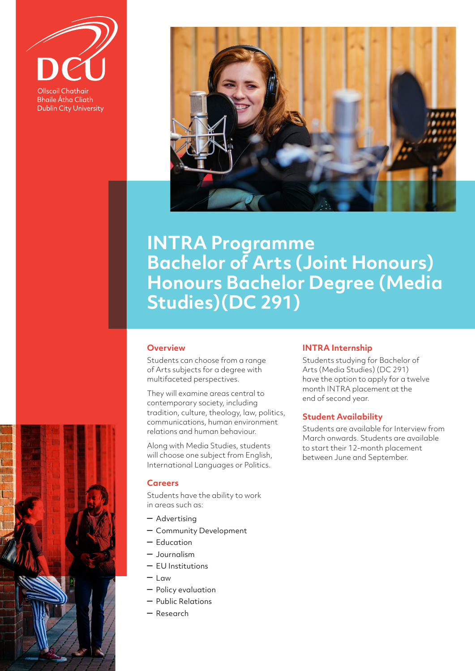**Ollscoil Chathair Bhaile Átha Cliath Dublin City University** 



# **INTRA Programme Bachelor of Arts (Joint Honours) Honours Bachelor Degree (Media Studies)(DC 291)**

## **Overview**

Students can choose from a range of Arts subjects for a degree with multifaceted perspectives.

They will examine areas central to contemporary society, including tradition, culture, theology, law, politics, communications, human environment relations and human behaviour.

Along with Media Studies, students will choose one subject from English, International Languages or Politics.

## **Careers**

Students have the ability to work in areas such as:

- Advertising
- Community Development
- Education
- Journalism
- EU Institutions
- Law
- Policy evaluation
- Public Relations
- Research

#### **INTRA Internship**

Students studying for Bachelor of Arts (Media Studies) (DC 291) have the option to apply for a twelve month INTRA placement at the end of second year.

#### **Student Availability**

Students are available for Interview from March onwards. Students are available to start their 12-month placement between June and September.